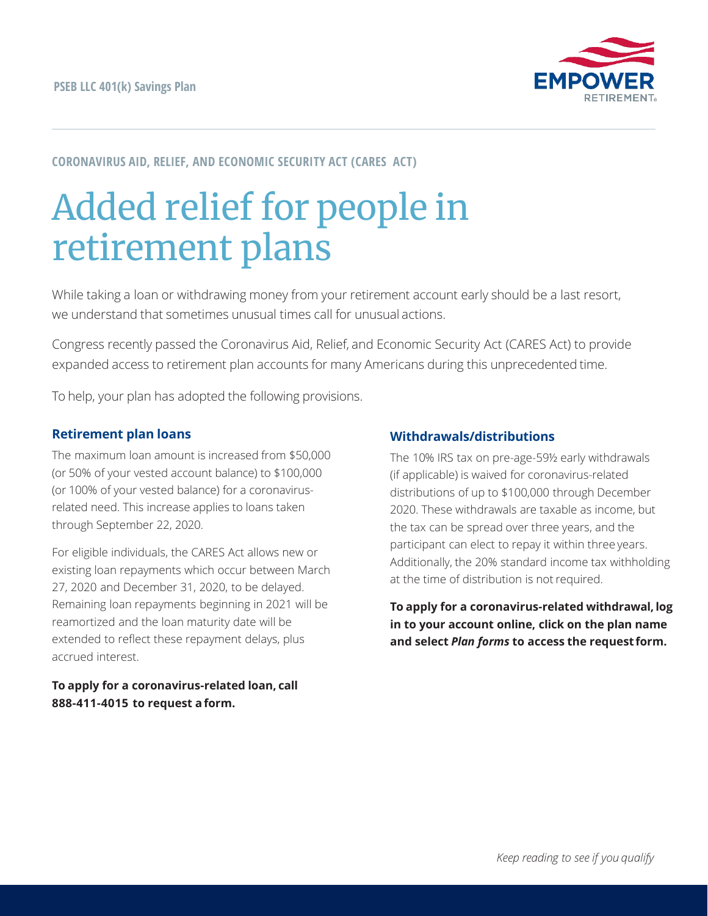

## **CORONAVIRUS AID, RELIEF, AND ECONOMIC SECURITY ACT (CARES ACT)**

# Added relief for people in retirement plans

While taking a loan or withdrawing money from your retirement account early should be a last resort, we understand that sometimes unusual times call for unusual actions.

Congress recently passed the Coronavirus Aid, Relief, and Economic Security Act (CARES Act) to provide expanded access to retirement plan accounts for many Americans during this unprecedented time.

To help, your plan has adopted the following provisions.

#### **Retirement plan loans**

The maximum loan amount is increased from \$50,000 (or 50% of your vested account balance) to \$100,000 (or 100% of your vested balance) for a coronavirusrelated need. This increase applies to loans taken through September 22, 2020.

For eligible individuals, the CARES Act allows new or existing loan repayments which occur between March 27, 2020 and December 31, 2020, to be delayed. Remaining loan repayments beginning in 2021 will be reamortized and the loan maturity date will be extended to reflect these repayment delays, plus accrued interest.

### **To apply for a coronavirus-related loan, call 888-411-4015 to request a form.**

#### **Withdrawals/distributions**

The 10% IRS tax on pre-age-59½ early withdrawals (if applicable) is waived for coronavirus-related distributions of up to \$100,000 through December 2020. These withdrawals are taxable as income, but the tax can be spread over three years, and the participant can elect to repay it within three years. Additionally, the 20% standard income tax withholding at the time of distribution is notrequired.

**To apply for a coronavirus-related withdrawal, log in to your account online, click on the plan name and select** *Plan forms* **to access the request form.**